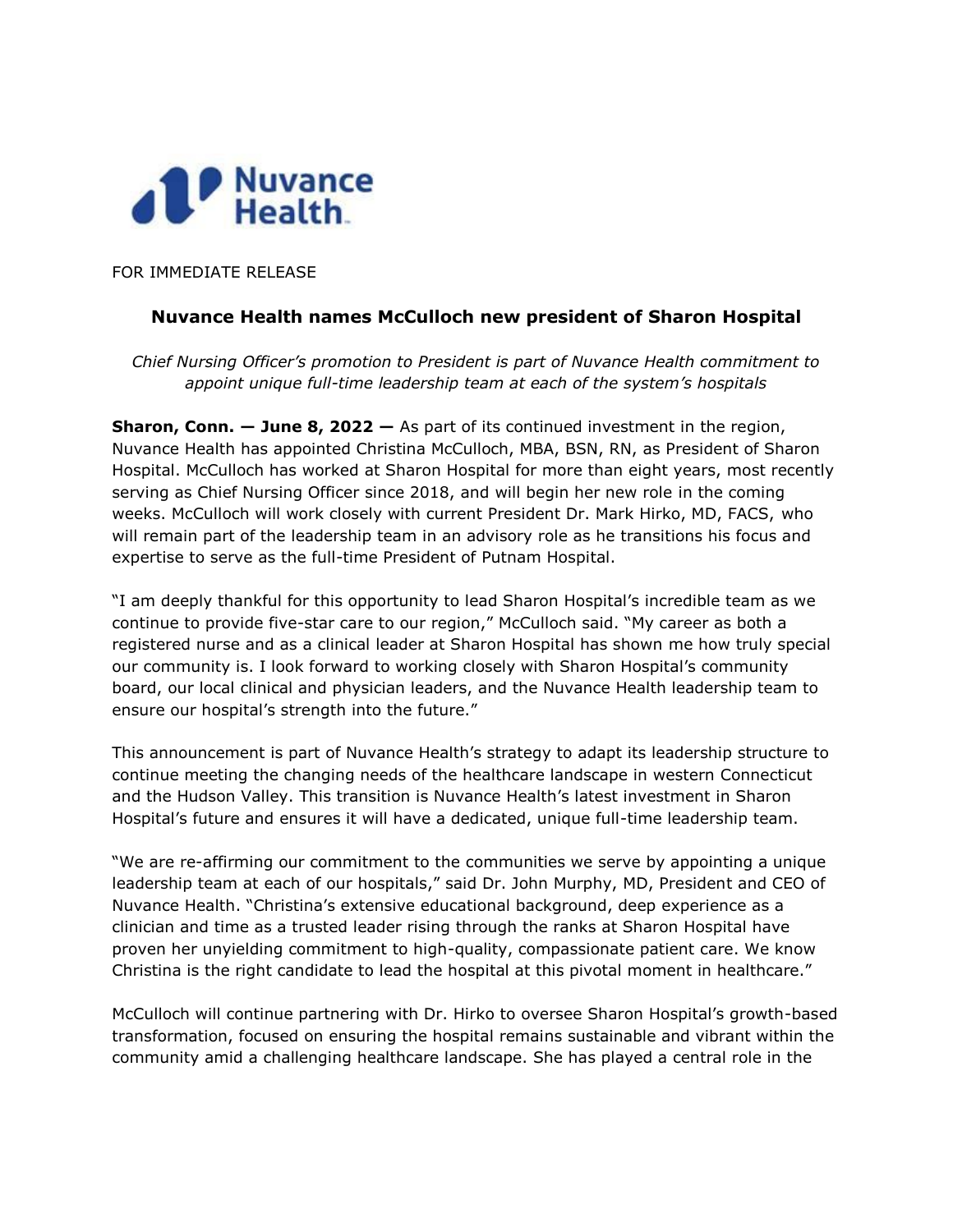

FOR IMMEDIATE RELEASE

## **Nuvance Health names McCulloch new president of Sharon Hospital**

*Chief Nursing Officer's promotion to President is part of Nuvance Health commitment to appoint unique full-time leadership team at each of the system's hospitals*

**Sharon, Conn. — June 8, 2022 —** As part of its continued investment in the region, Nuvance Health has appointed Christina McCulloch, MBA, BSN, RN, as President of Sharon Hospital. McCulloch has worked at Sharon Hospital for more than eight years, most recently serving as Chief Nursing Officer since 2018, and will begin her new role in the coming weeks. McCulloch will work closely with current President Dr. Mark Hirko, MD, FACS, who will remain part of the leadership team in an advisory role as he transitions his focus and expertise to serve as the full-time President of Putnam Hospital.

"I am deeply thankful for this opportunity to lead Sharon Hospital's incredible team as we continue to provide five-star care to our region," McCulloch said. "My career as both a registered nurse and as a clinical leader at Sharon Hospital has shown me how truly special our community is. I look forward to working closely with Sharon Hospital's community board, our local clinical and physician leaders, and the Nuvance Health leadership team to ensure our hospital's strength into the future."

This announcement is part of Nuvance Health's strategy to adapt its leadership structure to continue meeting the changing needs of the healthcare landscape in western Connecticut and the Hudson Valley. This transition is Nuvance Health's latest investment in Sharon Hospital's future and ensures it will have a dedicated, unique full-time leadership team.

"We are re-affirming our commitment to the communities we serve by appointing a unique leadership team at each of our hospitals," said Dr. John Murphy, MD, President and CEO of Nuvance Health. "Christina's extensive educational background, deep experience as a clinician and time as a trusted leader rising through the ranks at Sharon Hospital have proven her unyielding commitment to high-quality, compassionate patient care. We know Christina is the right candidate to lead the hospital at this pivotal moment in healthcare."

McCulloch will continue partnering with Dr. Hirko to oversee Sharon Hospital's growth-based transformation, focused on ensuring the hospital remains sustainable and vibrant within the community amid a challenging healthcare landscape. She has played a central role in the